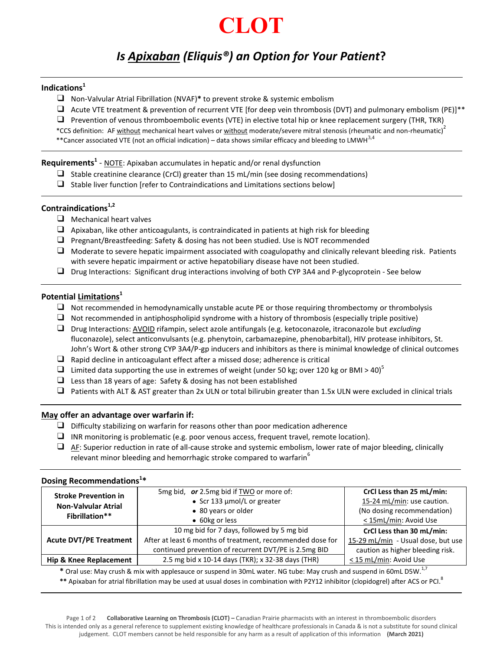# **CLOT**

# *Is Apixaban (Eliquis®) an Option for Your Patient***?**

#### **Indications<sup>1</sup>**

- ❑ Non-Valvular Atrial Fibrillation (NVAF)**\*** to prevent stroke & systemic embolism
- $\Box$  Acute VTE treatment & prevention of recurrent VTE [for deep vein thrombosis (DVT) and pulmonary embolism (PE)]\*\*
- ❑ Prevention of venous thromboembolic events (VTE) in elective total hip or knee replacement surgery (THR, TKR)
- \*CCS definition: AF <u>without</u> mechanical heart valves or <u>without</u> moderate/severe mitral stenosis (rheumatic and non-rheumatic)<sup>2</sup>
- \*\*Cancer associated VTE (not an official indication) data shows similar efficacy and bleeding to LMWH<sup>3,4</sup>

### **Requirements<sup>1</sup>** - NOTE: Apixaban accumulates in hepatic and/or renal dysfunction

- ❑ Stable creatinine clearance (CrCl) greater than 15 mL/min (see dosing recommendations)
- ❑ Stable liver function [refer to Contraindications and Limitations sections below]

### **Contraindications1,2**

- ❑ Mechanical heart valves
- $\Box$  Apixaban, like other anticoagulants, is contraindicated in patients at high risk for bleeding
- ❑ Pregnant/Breastfeeding: Safety & dosing has not been studied. Use is NOT recommended
- $\Box$  Moderate to severe hepatic impairment associated with coagulopathy and clinically relevant bleeding risk. Patients with severe hepatic impairment or active hepatobiliary disease have not been studied.
- ❑ Drug Interactions:Significant drug interactions involving of both CYP 3A4 and P-glycoprotein See below

#### **Potential Limitations<sup>1</sup>**

- ❑ Not recommended in hemodynamically unstable acute PE or those requiring thrombectomy or thrombolysis
- $\Box$  Not recommended in antiphospholipid syndrome with a history of thrombosis (especially triple positive)
- ❑ Drug Interactions: AVOID rifampin, select azole antifungals (e.g. ketoconazole, itraconazole but *excluding* fluconazole), select anticonvulsants (e.g. phenytoin, carbamazepine, phenobarbital), HIV protease inhibitors, St. John's Wort & other strong CYP 3A4/P-gp inducers and inhibitors as there is minimal knowledge of clinical outcomes
- ❑ Rapid decline in anticoagulant effect after a missed dose; adherence is critical
- □ Limited data supporting the use in extremes of weight (under 50 kg; over 120 kg or BMI > 40)<sup>5</sup>
- $\Box$  Less than 18 years of age: Safety & dosing has not been established
- ❑ Patients with ALT & AST greater than 2x ULN or total bilirubin greater than 1.5x ULN were excluded in clinical trials

#### **May offer an advantage over warfarin if:**

- $\Box$  Difficulty stabilizing on warfarin for reasons other than poor medication adherence
- ❑ INR monitoring is problematic (e.g. poor venous access, frequent travel, remote location).
- ❑ AF: Superior reduction in rate of all-cause stroke and systemic embolism, lower rate of major bleeding, clinically relevant minor bleeding and hemorrhagic stroke compared to warfarin<sup>6</sup>

| Dosing Recommendations <sup>1*</sup>                                        |                                                            |                                    |  |
|-----------------------------------------------------------------------------|------------------------------------------------------------|------------------------------------|--|
| <b>Stroke Prevention in</b><br><b>Non-Valvular Atrial</b><br>Fibrillation** | 5mg bid, or 2.5mg bid if TWO or more of:                   | CrCl Less than 25 mL/min:          |  |
|                                                                             | • Scr 133 $\mu$ mol/L or greater                           | 15-24 mL/min: use caution.         |  |
|                                                                             | • 80 years or older                                        | (No dosing recommendation)         |  |
|                                                                             | • 60kg or less                                             | < 15mL/min: Avoid Use              |  |
| <b>Acute DVT/PE Treatment</b>                                               | 10 mg bid for 7 days, followed by 5 mg bid                 | CrCl Less than 30 mL/min:          |  |
|                                                                             | After at least 6 months of treatment, recommended dose for | 15-29 mL/min - Usual dose, but use |  |
|                                                                             | continued prevention of recurrent DVT/PE is 2.5mg BID      | caution as higher bleeding risk.   |  |
| <b>Hip &amp; Knee Replacement</b>                                           | 2.5 mg bid x 10-14 days (TKR); x 32-38 days (THR)          | < 15 mL/min: Avoid Use             |  |
|                                                                             |                                                            | 17                                 |  |

**\*** Oral use: May crush & mix with applesauce or suspend in 30mL water. NG tube: May crush and suspend in 60mL D5W.1,7

\*\* Apixaban for atrial fibrillation may be used at usual doses in combination with P2Y12 inhibitor (clopidogrel) after ACS or PCI.<sup>8</sup>

#### Page 1 of 2 **Collaborative Learning on Thrombosis (CLOT) –** Canadian Prairie pharmacists with an interest in thromboembolic disorders This is intended only as a general reference to supplement existing knowledge of healthcare professionals in Canada & is not a substitute for sound clinical judgement. CLOT members cannot be held responsible for any harm as a result of application of this information **(March 2021)**